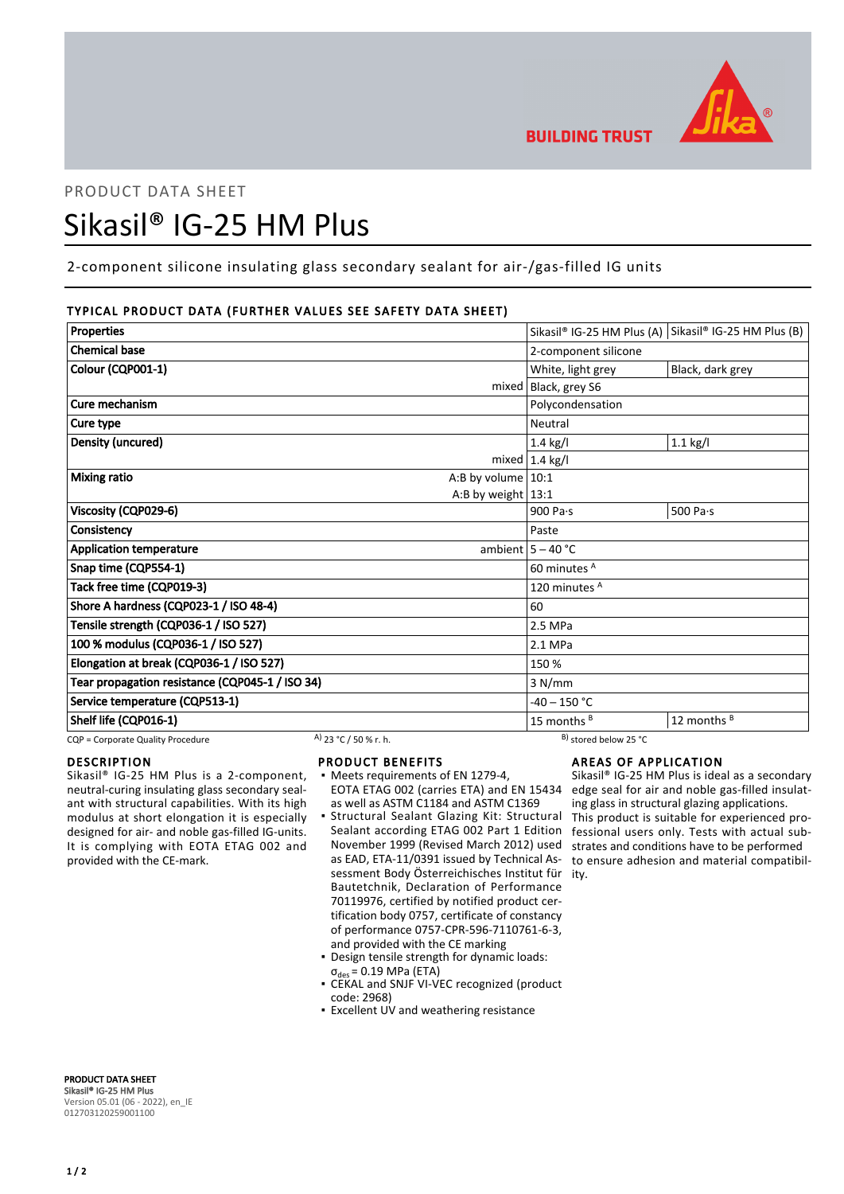

# PRODUCT DATA SHEET Sikasil® IG-25 HM Plus

# 2-component silicone insulating glass secondary sealant for air-/gas-filled IG units

# TYPICAL PRODUCT DATA (FURTHER VALUES SEE SAFETY DATA SHEET)

| <b>Properties</b>                               |                       |                          |                                  | Sikasil® IG-25 HM Plus (A) Sikasil® IG-25 HM Plus (B) |
|-------------------------------------------------|-----------------------|--------------------------|----------------------------------|-------------------------------------------------------|
| <b>Chemical base</b>                            |                       |                          | 2-component silicone             |                                                       |
| Colour (CQP001-1)                               |                       |                          | White, light grey                | Black, dark grey                                      |
|                                                 |                       | mixed   Black, grey S6   |                                  |                                                       |
| Cure mechanism                                  |                       |                          | Polycondensation                 |                                                       |
| Cure type                                       |                       |                          | Neutral                          |                                                       |
| Density (uncured)                               |                       |                          | 1.4 kg/l                         | $1.1$ kg/l                                            |
|                                                 |                       |                          | mixed $1.4$ kg/l                 |                                                       |
| Mixing ratio                                    |                       | A:B by volume $10:1$     |                                  |                                                       |
|                                                 |                       | A:B by weight $13:1$     |                                  |                                                       |
| Viscosity (CQP029-6)                            |                       |                          | 900 Pa $\cdot$ s                 | 500 Pa $\cdot$ s                                      |
| Consistency                                     |                       |                          | Paste                            |                                                       |
| <b>Application temperature</b>                  |                       |                          | ambient $5 - 40$ °C              |                                                       |
| Snap time (CQP554-1)                            |                       |                          | 60 minutes A                     |                                                       |
| Tack free time (CQP019-3)                       |                       | 120 minutes <sup>A</sup> |                                  |                                                       |
| Shore A hardness (CQP023-1 / ISO 48-4)          |                       | 60                       |                                  |                                                       |
| Tensile strength (CQP036-1 / ISO 527)           |                       | 2.5 MPa                  |                                  |                                                       |
| 100 % modulus (CQP036-1 / ISO 527)              |                       | 2.1 MPa                  |                                  |                                                       |
| Elongation at break (CQP036-1 / ISO 527)        |                       | 150 %                    |                                  |                                                       |
| Tear propagation resistance (CQP045-1 / ISO 34) |                       | 3 N/mm                   |                                  |                                                       |
| Service temperature (CQP513-1)                  |                       | $-40 - 150 °C$           |                                  |                                                       |
| Shelf life (CQP016-1)                           |                       |                          | 15 months $B$                    | 12 months B                                           |
| CQP = Corporate Quality Procedure               | A) 23 °C / 50 % r. h. |                          | <sup>B)</sup> stored below 25 °C |                                                       |

DESCRIPTION

Sikasil® IG-25 HM Plus is a 2-component, neutral-curing insulating glass secondary sealant with structural capabilities. With its high modulus at short elongation it is especially designed for air- and noble gas-filled IG-units. It is complying with EOTA ETAG 002 and provided with the CE-mark.

- PRODUCT BENEFITS
- Meets requirements of EN 1279-4, EOTA ETAG 002 (carries ETA) and EN 15434 as well as ASTM C1184 and ASTM C1369
- Structural Sealant Glazing Kit: Structural Sealant according ETAG 002 Part 1 Edition November 1999 (Revised March 2012) used as EAD, ETA-11/0391 issued by Technical Assessment Body Österreichisches Institut für ity. Bautetchnik, Declaration of Performance 70119976, certified by notified product certification body 0757, certificate of constancy of performance 0757-CPR-596-7110761-6-3, and provided with the CE marking ▪
- Design tensile strength for dynamic loads:  $\sigma_{\text{des}} = 0.19 \text{ MPa (ETA)}$
- CEKAL and SNJF VI-VEC recognized (product code: 2968)
- **Excellent UV and weathering resistance**

# AREAS OF APPLICATION

Sikasil® IG-25 HM Plus is ideal as a secondary edge seal for air and noble gas-filled insulating glass in structural glazing applications. This product is suitable for experienced professional users only. Tests with actual substrates and conditions have to be performed to ensure adhesion and material compatibil-

PRODUCT DATA SHEET Sikasil® IG-25 HM Plus Version 05.01 (06 - 2022), en\_IE 012703120259001100